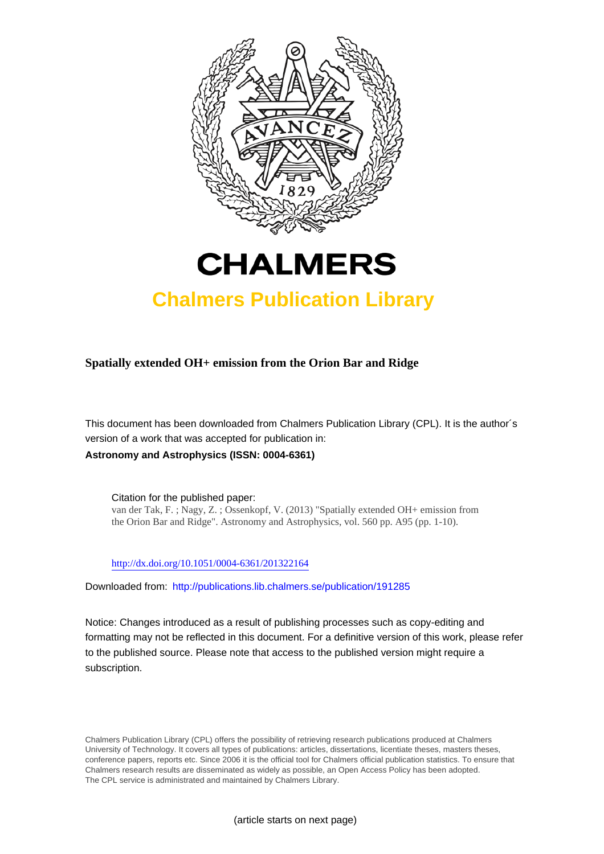



# **Chalmers Publication Library**

**Spatially extended OH+ emission from the Orion Bar and Ridge**

This document has been downloaded from Chalmers Publication Library (CPL). It is the author´s version of a work that was accepted for publication in: **Astronomy and Astrophysics (ISSN: 0004-6361)**

Citation for the published paper: van der Tak, F. ; Nagy, Z. ; Ossenkopf, V. (2013) "Spatially extended OH+ emission from the Orion Bar and Ridge". Astronomy and Astrophysics, vol. 560 pp. A95 (pp. 1-10).

<http://dx.doi.org/10.1051/0004-6361/201322164>

Downloaded from: <http://publications.lib.chalmers.se/publication/191285>

Notice: Changes introduced as a result of publishing processes such as copy-editing and formatting may not be reflected in this document. For a definitive version of this work, please refer to the published source. Please note that access to the published version might require a subscription.

Chalmers Publication Library (CPL) offers the possibility of retrieving research publications produced at Chalmers University of Technology. It covers all types of publications: articles, dissertations, licentiate theses, masters theses, conference papers, reports etc. Since 2006 it is the official tool for Chalmers official publication statistics. To ensure that Chalmers research results are disseminated as widely as possible, an Open Access Policy has been adopted. The CPL service is administrated and maintained by Chalmers Library.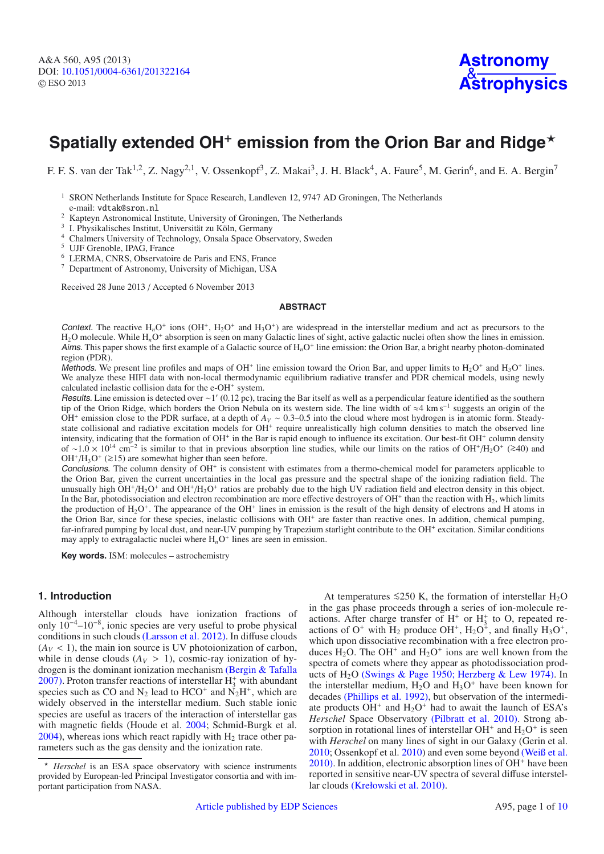## **Spatially extended OH<sup>+</sup> emission from the Orion Bar and Ridge<sup>\*</sup>**

F. F. S. van der Tak<sup>1,2</sup>, Z. Nagy<sup>2,1</sup>, V. Ossenkopf<sup>3</sup>, Z. Makai<sup>3</sup>, J. H. Black<sup>4</sup>, A. Faure<sup>5</sup>, M. Gerin<sup>6</sup>, and E. A. Bergin<sup>7</sup>

<sup>1</sup> SRON Netherlands Institute for Space Research, Landleven 12, 9747 AD Groningen, The Netherlands e-mail: vdtak@sron.nl

 $^2$ Kapteyn Astronomical Institute, University of Groningen, The Netherlands  $^3$  I. Physikalisches Institut, Universität zu Köln, Germany  $^4$  Chalmers University of Technology, Onsala Space Observatory, Sweden  $^5$  UJF

- <sup>6</sup> LERMA, CNRS, Observatoire de Paris and ENS, France
- <sup>7</sup> Department of Astronomy, University of Michigan, USA

Received 28 June 2013 / Accepted 6 November 2013

#### **ABSTRACT**

Context. The reactive  $H_nO^+$  ions ( $OH^+$ ,  $H_2O^+$  and  $H_3O^+$ ) are widespread in the interstellar medium and act as precursors to the H<sub>2</sub>O molecule. While H<sub>n</sub>O<sup>+</sup> absorption is seen on many Galactic lines of sight, active galactic nuclei often show the lines in emission. Aims. This paper shows the first example of a Galactic source of H<sub>n</sub>O<sup>+</sup> line emission: the Orion Bar, a bright nearby photon-dominated region (PDR).

Methods. We present line profiles and maps of OH<sup>+</sup> line emission toward the Orion Bar, and upper limits to  $H_2O^+$  and  $H_3O^+$  lines. We analyze these HIFI data with non-local thermodynamic equilibrium radiative transfer and PDR chemical models, using newly calculated inelastic collision data for the e-OH<sup>+</sup> system.

Results. Line emission is detected over ∼1 (0.12 pc), tracing the Bar itself as well as a perpendicular feature identified as the southern tip of the Orion Ridge, which borders the Orion Nebula on its western side. The line width of ≈4 km s<sup>−</sup><sup>1</sup> suggests an origin of the OH<sup>+</sup> emission close to the PDR surface, at a depth of *AV* <sup>∼</sup> <sup>0</sup>.3–0.5 into the cloud where most hydrogen is in atomic form. Steadystate collisional and radiative excitation models for OH<sup>+</sup> require unrealistically high column densities to match the observed line intensity, indicating that the formation of  $OH<sup>+</sup>$  in the Bar is rapid enough to influence its excitation. Our best-fit  $OH<sup>+</sup>$  column density of <sup>∼</sup>1.<sup>0</sup> <sup>×</sup> <sup>1014</sup> cm<sup>−</sup><sup>2</sup> is similar to that in previous absorption line studies, while our limits on the ratios of OH+/H2O<sup>+</sup> (>∼40) and OH<sup>+</sup>/H<sub>3</sub>O<sup>+</sup> (≥15) are somewhat higher than seen before.

Conclusions. The column density of  $OH<sup>+</sup>$  is consistent with estimates from a thermo-chemical model for parameters applicable to the Orion Bar, given the current uncertainties in the local gas pressure and the spectral shape of the ionizing radiation field. The unusually high  $OH<sup>+</sup>/H<sub>2</sub>O<sup>+</sup>$  and  $OH<sup>+</sup>/H<sub>3</sub>O<sup>+</sup>$  ratios are probably due to the high UV radiation field and electron density in this object. In the Bar, photodissociation and electron recombination are more effective destroyers of OH<sup>+</sup> than the reaction with  $H_2$ , which limits the production of  $H_2O^+$ . The appearance of the OH<sup>+</sup> lines in emission is the result of the high density of electrons and H atoms in the Orion Bar, since for these species, inelastic collisions with OH<sup>+</sup> are faster than reactive ones. In addition, chemical pumping, far-infrared pumping by local dust, and near-UV pumping by Trapezium starlight contribute to the OH<sup>+</sup> excitation. Similar conditions may apply to extragalactic nuclei where  $H_nO^+$  lines are seen in emission.

**Key words.** ISM: molecules – astrochemistry

## **1. Introduction**

Although interstellar clouds have ionization fractions of only 10<sup>−</sup>4–10<sup>−</sup>8, ionic species are very useful to probe physical conditions in such clouds [\(Larsson et al. 2012](#page-9-0)[\).](http://adsabs.harvard.edu/abs/2012RPPh...75f6901L) In diffuse clouds  $(A_V < 1)$ , the main ion source is UV photoionization of carbon, while in dense clouds  $(A_V > 1)$ , cosmic-ray ionization of hydrogen is the dominant ionization mechanism [\(Bergin & Tafalla](#page-9-1) [2007](#page-9-1)[\).](http://adsabs.harvard.edu/abs/2007ARA&A..45..339B) Proton transfer reactions of interstellar  $H_3^+$  with abundant species such as CO and  $N_2$  lead to HCO<sup>+</sup> and  $N_2H^+$ , which are widely observed in the interstellar medium. Such stable ionic species are useful as tracers of the interaction of interstellar gas with magnetic fields (Houde et al. [2004](#page-9-2)[;](http://adsabs.harvard.edu/abs/2004ApJ...604..717H) Schmid-Burgk et al.  $2004$ [\)](http://adsabs.harvard.edu/abs/2004A&A...419..949S), whereas ions which react rapidly with  $H<sub>2</sub>$  trace other parameters such as the gas density and the ionization rate.

At temperatures  $\leq 250$  K, the formation of interstellar H<sub>2</sub>O in the gas phase proceeds through a series of ion-molecule reactions. After charge transfer of  $H^+$  or  $H^+$  to O, repeated reactions of  $O^+$  with  $H_2$  produce  $OH^+$ ,  $H_2O^+$ , and finally  $H_3O^+$ , which upon dissociative recombination with a free electron produces H<sub>2</sub>O. The OH<sup>+</sup> and H<sub>2</sub>O<sup>+</sup> ions are well known from the spectra of comets where they appear as photodissociation prod-ucts of H<sub>2</sub>O [\(Swings & Page 1950](#page-10-1); [Herzberg & Lew 197](#page-9-3)[4\).](http://adsabs.harvard.edu/abs/1950ApJ...111..530S,1974A&A....31..123H) In the interstellar medium,  $H_2O$  and  $H_3O^+$  have been known for decades [\(Phillips et al. 199](#page-10-2)[2\),](http://adsabs.harvard.edu/abs/1992ApJ...399..533P) but observation of the intermediate products  $OH<sup>+</sup>$  and  $H<sub>2</sub>O<sup>+</sup>$  had to await the launch of ESA's *Herschel* Space Observatory [\(Pilbratt et al. 201](#page-10-3)[0\).](http://adsabs.harvard.edu/abs/2010A&A...518L...1P) Strong absorption in rotational lines of interstellar  $OH^+$  and  $H_2O^+$  is seen with *Herschel* on many lines of sight in our Galaxy (Gerin et al. [2010](#page-9-4)[;](http://adsabs.harvard.edu/abs/2010A&A...518L.110G) Ossenkopf et al. [2010](#page-10-4)[\)](http://adsabs.harvard.edu/abs/2010A&A...518L.111O) and even some beyond [\(Weiß et al.](#page-10-5)  $2010$ [\).](http://adsabs.harvard.edu/abs/2010A&A...521L...1W) In addition, electronic absorption lines of OH<sup>+</sup> have been reported in sensitive near-UV spectra of several diffuse interstellar clouds [\(Krełowski et al. 2010](#page-9-5)[\).](http://adsabs.harvard.edu/abs/2010ApJ...719L..20K)

<sup>-</sup> *Herschel* is an ESA space observatory with science instruments provided by European-led Principal Investigator consortia and with important participation from NASA.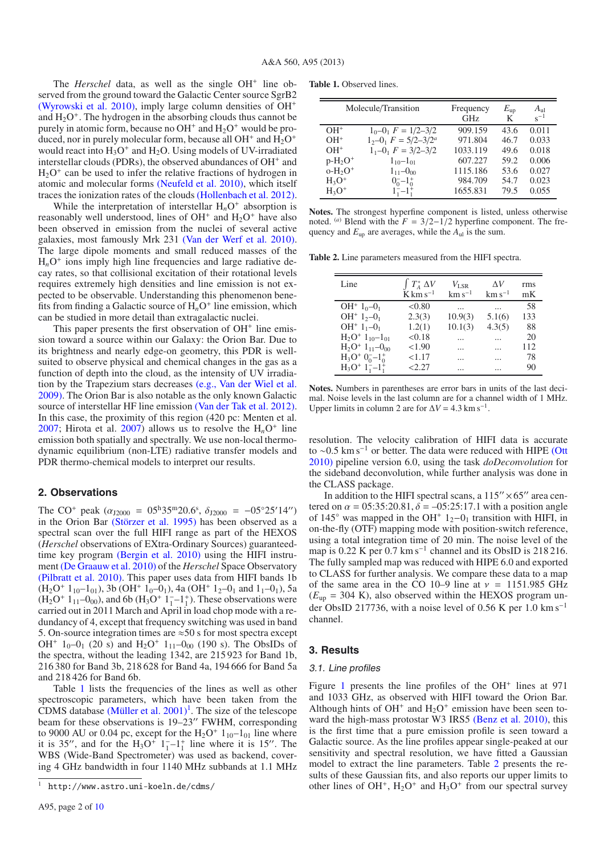The *Herschel* data, as well as the single OH<sup>+</sup> line observed from the ground toward the Galactic Center source SgrB2 [\(Wyrowski et al. 2010](#page-10-7)[\),](http://adsabs.harvard.edu/abs/2010A&A...518A..26W) imply large column densities of OH<sup>+</sup> and  $H_2O^+$ . The hydrogen in the absorbing clouds thus cannot be purely in atomic form, because no  $OH^+$  and  $H_2O^+$  would be produced, nor in purely molecular form, because all  $OH<sup>+</sup>$  and  $H<sub>2</sub>O<sup>+</sup>$ would react into  $H_3O^+$  and  $H_2O$ . Using models of UV-irradiated interstellar clouds (PDRs), the observed abundances of  $OH<sup>+</sup>$  and  $H<sub>2</sub>O<sup>+</sup>$  can be used to infer the relative fractions of hydrogen in atomic and molecular forms [\(Neufeld et al. 201](#page-10-8)[0\),](http://adsabs.harvard.edu/abs/2010A&A...521L..10N) which itself traces the ionization rates of the clouds [\(Hollenbach et al. 2012](#page-9-6)[\).](http://adsabs.harvard.edu/abs/2012ApJ...754..105H)

While the interpretation of interstellar  $H<sub>n</sub>O<sup>+</sup>$  absorption is reasonably well understood, lines of  $OH<sup>+</sup>$  and  $H<sub>2</sub>O<sup>+</sup>$  have also been observed in emission from the nuclei of several active galaxies, most famously Mrk 231 [\(Van der Werf et al. 2010](#page-10-9)[\).](http://adsabs.harvard.edu/abs/2010A&A...518L..42V) The large dipole moments and small reduced masses of the  $H_nO^+$  ions imply high line frequencies and large radiative decay rates, so that collisional excitation of their rotational levels requires extremely high densities and line emission is not expected to be observable. Understanding this phenomenon benefits from finding a Galactic source of  $H_nO^+$  line emission, which can be studied in more detail than extragalactic nuclei.

This paper presents the first observation of  $OH<sup>+</sup>$  line emission toward a source within our Galaxy: the Orion Bar. Due to its brightness and nearly edge-on geometry, this PDR is wellsuited to observe physical and chemical changes in the gas as a function of depth into the cloud, as the intensity of UV irradiation by the Trapezium stars decreases (e.g., [Van der Wiel et al.](#page-10-10) [2009](#page-10-10)[\).](http://adsabs.harvard.edu/abs/2009A&A...498..161V) The Orion Bar is also notable as the only known Galactic source of interstellar HF line emission [\(Van der Tak et al. 2012](#page-10-11)[\).](http://adsabs.harvard.edu/abs/2012A&A...537L..10V) In this case, the proximity of this region (420 pc: Menten et al. [2007](#page-10-12)[;](http://adsabs.harvard.edu/abs/2007A&A...474..515M) Hirota et al.  $2007$  $2007$ ) allows us to resolve the  $H<sub>n</sub>O<sup>+</sup>$  line emission both spatially and spectrally. We use non-local thermodynamic equilibrium (non-LTE) radiative transfer models and PDR thermo-chemical models to interpret our results.

## **2. Observations**

The CO<sup>+</sup> peak  $(\alpha_{J2000} = 05^{\text{h}}35^{\text{m}}20.6^{\text{s}}, \delta_{J2000} = -05^{\circ}25'14'')$ <br>in the Orion Bar (Störzer et al. 1995) has been observed as a in the Orion Bar [\(Störzer et al. 199](#page-10-13)[5\)](http://adsabs.harvard.edu/abs/1995A&A...296L...9S) has been observed as a spectral scan over the full HIFI range as part of the HEXOS (*Herschel* observations of EXtra-Ordinary Sources) guaranteedtime key program [\(Bergin et al. 201](#page-9-8)[0\)](http://adsabs.harvard.edu/abs/2010A&A...521L..20B) using the HIFI instrument [\(De Graauw et al. 2010](#page-9-9)[\)](http://adsabs.harvard.edu/abs/2010A&A...518L...6D) of the *Herschel* Space Observatory [\(Pilbratt et al. 2010](#page-10-3)[\).](http://adsabs.harvard.edu/abs/2010A&A...518L...1P) This paper uses data from HIFI bands 1b  $(H_2O^+ 1_{10}-1_{01})$ , 3b  $(OH^+ 1_0-0_1)$ , 4a  $(OH^+ 1_2-0_1$  and  $1_1-0_1)$ , 5a  $(H_2O^+1_{11}-0_{00})$ , and 6b  $(H_3O^+1_1^-\text{-}1_1^+)$ . These observations were carried out in 2011 March and April in load chop mode with a redundancy of 4, except that frequency switching was used in band 5. On-source integration times are  $\approx$  50 s for most spectra except OH<sup>+</sup>  $1_0$ -0<sub>1</sub> (20 s) and H<sub>2</sub>O<sup>+</sup>  $1_{11}$ -0<sub>00</sub> (190 s). The ObsIDs of the spectra, without the leading 1342, are 215 923 for Band 1b, 216 380 for Band 3b, 218 628 for Band 4a, 194 666 for Band 5a and 218 426 for Band 6b.

<span id="page-2-1"></span>Table [1](#page-2-0) lists the frequencies of the lines as well as other spectroscopic parameters, which have been taken from the CDMS database (Müller et al.  $2001$  $2001$ )<sup>1</sup>. The size of the telescope beam for these observations is 19–23″ FWHM, corresponding to 9000 AU or 0.04 pc, except for the  $H_2O^+$  1<sub>10</sub>–1<sub>01</sub> line where it is 35", and for the  $H_3O^+$  1<sup>-1+</sup> line where it is 15". The WBS (Wide-Band Spectrometer) was used as backend, covering 4 GHz bandwidth in four 1140 MHz subbands at 1.1 MHz

<span id="page-2-2"></span><span id="page-2-0"></span>**Table 1.** Observed lines.

|            | Molecule/Transition                      | Frequency<br><b>GHz</b> | $E_{\rm up}$<br>K | $A_{\rm ul}$<br>$s^{-1}$ |
|------------|------------------------------------------|-------------------------|-------------------|--------------------------|
| $OH+$      | $1_0 - 0_1 F = 1/2 - 3/2$                | 909.159                 | 43.6              | 0.011                    |
| $OH+$      | $1, -0$ , $F = 5/2 - 3/2^a$              | 971.804                 | 46.7              | 0.033                    |
| $OH+$      | $1_1 - 0_1$ $F = 3/2 - 3/2$              | 1033.119                | 49.6              | 0.018                    |
| $p-H_2O^+$ | $1_{10} - 1_{01}$                        | 607.227                 | 59.2              | 0.006                    |
| $O-H2O+$   | $1_{11} - 0_{00}$                        | 1115.186                | 53.6              | 0.027                    |
| $H_3O^+$   | $0^{-}_{0}$ -1 <sup>+</sup> <sub>0</sub> | 984.709                 | 54.7              | 0.023                    |
| $H_3O^+$   | $1 - 1$ ;                                | 1655.831                | 79.5              | 0.055                    |

**Notes.** The strongest hyperfine component is listed, unless otherwise noted. <sup>(*a*)</sup> Blend with the  $F = 3/2 - 1/2$  hyperfine component. The frequency and  $E_{\text{up}}$  are averages, while the  $A_{\text{ul}}$  is the sum.

**Table 2.** Line parameters measured from the HIFI spectra.

| Line                                      | $\int T_A^* \Delta V$ | $V_{\rm LSR}$ | ΛV          | rms |
|-------------------------------------------|-----------------------|---------------|-------------|-----|
|                                           | $K \text{ km s}^{-1}$ | $km s^{-1}$   | $km s^{-1}$ | mK  |
| OH <sup>+</sup> $1_0$ -0 <sub>1</sub>     | < 0.80                |               |             | 58  |
| OH <sup>+</sup> $1, -0$ <sub>1</sub>      | 2.3(3)                | 10.9(3)       | 5.1(6)      | 133 |
| $OH^+$ 1 <sub>1</sub> -0 <sub>1</sub>     | 1.2(1)                | 10.1(3)       | 4.3(5)      | 88  |
| $H_2O^+1_{10}-1_{01}$                     | < 0.18                |               |             | 20  |
| $H_2O^+$ 1 <sub>11</sub> -0 <sub>00</sub> | < 1.90                |               |             | 112 |
| $H_3O^+$ $0^-_0-1^+_0$                    | < 1.17                | .             |             | 78  |
| $H_3O^+$ 1 <sup>-</sup> $-1_1^+$          | <2.27                 |               |             | 90  |

**Notes.** Numbers in parentheses are error bars in units of the last decimal. Noise levels in the last column are for a channel width of 1 MHz. Upper limits in column 2 are for  $\Delta V = 4.3$  km s<sup>-1</sup>.

resolution. The velocity calibration of HIFI data is accurate to ~0.5 km s<sup>-1</sup> or better. The data were reduced with HIPE [\(Ott](#page-10-15) [2010](#page-10-15)[\)](http://adsabs.harvard.edu/abs/2010ASPC..434..139O) pipeline version 6.0, using the task *doDeconvolution* for the sideband deconvolution, while further analysis was done in the CLASS package.

In addition to the HIFI spectral scans, a  $115'' \times 65''$  area centered on  $\alpha = 05:35:20.81, \delta = -05:25:17.1$  with a position angle of 145 $\degree$  was mapped in the OH<sup>+</sup> 1<sub>2</sub>−0<sub>1</sub> transition with HIFI, in on-the-fly (OTF) mapping mode with position-switch reference, using a total integration time of 20 min. The noise level of the map is  $0.22 \text{ K}$  per  $0.7 \text{ km s}^{-1}$  channel and its ObsID is 218 216. The fully sampled map was reduced with HIPE 6.0 and exported to CLASS for further analysis. We compare these data to a map of the same area in the CO 10–9 line at  $v = 1151.985$  GHz  $(E_{\text{up}} = 304 \text{ K})$ , also observed within the HEXOS program under ObsID 217736, with a noise level of 0.56 K per 1.0 km s<sup>-1</sup> channel.

## **3. Results**

#### 3.1. Line profiles

Figure [1](#page-3-0) presents the line profiles of the  $OH<sup>+</sup>$  lines at 971 and 1033 GHz, as observed with HIFI toward the Orion Bar. Although hints of  $OH<sup>+</sup>$  and  $H<sub>2</sub>O<sup>+</sup>$  emission have been seen to-ward the high-mass protostar W3 IRS5 [\(Benz et al. 201](#page-9-10)[0\),](http://adsabs.harvard.edu/abs/2010A&A...521L..35B) this is the first time that a pure emission profile is seen toward a Galactic source. As the line profiles appear single-peaked at our sensitivity and spectral resolution, we have fitted a Gaussian model to extract the line parameters. Table [2](#page-2-2) presents the results of these Gaussian fits, and also reports our upper limits to other lines of OH<sup>+</sup>,  $H_2O^+$  and  $H_3O^+$  from our spectral survey

<sup>1</sup> http://www.astro.uni-koeln.de/cdms/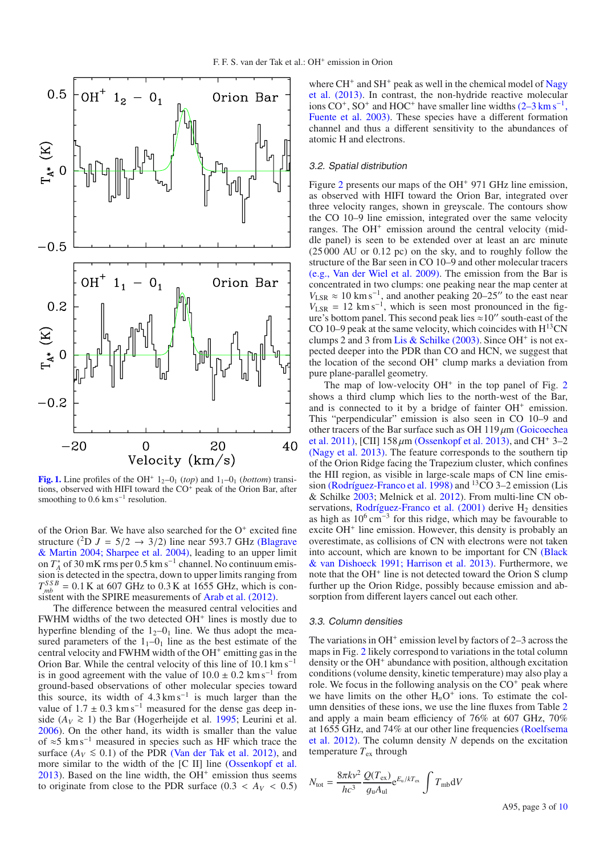

<span id="page-3-0"></span>**[Fig. 1.](http://dexter.edpsciences.org/applet.php?DOI=10.1051/0004-6361/201322164&pdf_id=1)** Line profiles of the OH<sup>+</sup>  $1_2$ - $0_1$  (*top*) and  $1_1$ - $0_1$  (*bottom*) transitions, observed with HIFI toward the CO<sup>+</sup> peak of the Orion Bar, after smoothing to  $0.6 \text{ km s}^{-1}$  resolution.

of the Orion Bar. We have also searched for the  $O^+$  excited fine structure (<sup>2</sup>D  $J = 5/2 \rightarrow 3/2$ ) line near 593.7 GHz (Blagrave & Martin [2004;](#page-9-11) [Sharpee et al. 200](#page-10-16)[4\),](http://adsabs.harvard.edu/abs/2004ApJ...610..813B,2004ApJ...606..605S) leading to an upper limit on *T*<sup>∗</sup> *<sup>A</sup>* of 30 mK rms per 0.5 km s<sup>−</sup><sup>1</sup> channel. No continuum emission is detected in the spectra, down to upper limits ranging from  $T_{mb}^{SSB} = 0.1$  K at 607 GHz to 0.3 K at 1655 GHz, which is con-sistent with the SPIRE measurements of [Arab et al.](#page-9-12) [\(201](#page-9-12)[2\).](http://adsabs.harvard.edu/abs/2012A&A...541A..19A)

The difference between the measured central velocities and  $FWHM$  widths of the two detected  $OH<sup>+</sup>$  lines is mostly due to hyperfine blending of the  $1<sub>2</sub>-0<sub>1</sub>$  line. We thus adopt the measured parameters of the  $1<sub>1</sub>$ – $0<sub>1</sub>$  line as the best estimate of the central velocity and FWHM width of the  $OH<sup>+</sup>$  emitting gas in the Orion Bar. While the central velocity of this line of 10.1 km s<sup>−</sup><sup>1</sup> is in good agreement with the value of  $10.0 \pm 0.2$  km s<sup>-1</sup> from ground-based observations of other molecular species toward this source, its width of  $4.3 \text{ km s}^{-1}$  is much larger than the value of  $1.7 \pm 0.3$  km s<sup>-1</sup> measured for the dense gas deep inside ( $A_V$  ≥ 1) the Bar (Hogerheijde et al. [1995](#page-9-13)[;](http://adsabs.harvard.edu/abs/1995A&A...294..792H) Leurini et al. [2006](#page-9-14)[\)](http://adsabs.harvard.edu/abs/2006A&A...454L..47L). On the other hand, its width is smaller than the value of ≈5 km s<sup>−</sup><sup>1</sup> measured in species such as HF which trace the surface ( $A_V \le 0.1$ ) of the PDR [\(Van der Tak et al. 2012](#page-10-11)[\),](http://adsabs.harvard.edu/abs/2012A&A...537L..10V) and more similar to the width of the [C II] line [\(Ossenkopf et al.](#page-10-17)  $2013$ ). Based on the line width, the OH<sup>+</sup> emission thus seems to originate from close to the PDR surface  $(0.3 < A_V < 0.5)$  where  $CH<sup>+</sup>$  and  $SH<sup>+</sup>$  [peak as well in the chemical model of](#page-10-18) Nagy et al. [\(2013](#page-10-18)[\).](http://adsabs.harvard.edu/abs/2013A&A...550A..96N) In contrast, the non-hydride reactive molecular ions  $CO^+$ ,  $SO^+$  and  $HOC^+$  have smaller line widths  $(2-3 \text{ km s}^{-1})$ , [Fuente et al. 2003](#page-9-15)[\).](http://adsabs.harvard.edu/abs/2003A&A...406..899F) These species have a different formation channel and thus a different sensitivity to the abundances of atomic H and electrons.

#### 3.2. Spatial distribution

Figure [2](#page-4-0) presents our maps of the  $OH<sup>+</sup> 971$  GHz line emission, as observed with HIFI toward the Orion Bar, integrated over three velocity ranges, shown in greyscale. The contours show the CO 10–9 line emission, integrated over the same velocity ranges. The  $OH<sup>+</sup>$  emission around the central velocity (middle panel) is seen to be extended over at least an arc minute (25 000 AU or 0.12 pc) on the sky, and to roughly follow the structure of the Bar seen in CO 10–9 and other molecular tracers (e.g., [Van der Wiel et al. 200](#page-10-10)[9\).](http://adsabs.harvard.edu/abs/2009A&A...498..161V) The emission from the Bar is concentrated in two clumps: one peaking near the map center at  $V_{\text{LSR}} \approx 10 \text{ km s}^{-1}$ , and another peaking 20–25" to the east near  $V_{LSR}$  = 12 km s<sup>-1</sup>, which is seen most pronounced in the figure's bottom panel. This second peak lies  $\approx 10''$  south-east of the CO 10–9 peak at the same velocity, which coincides with  $H^{13}CN$ clumps 2 and 3 from [Lis & Schilke](#page-9-16) [\(2003](#page-9-16)[\).](http://adsabs.harvard.edu/abs/2003ApJ...597L.145L) Since OH<sup>+</sup> is not expected deeper into the PDR than CO and HCN, we suggest that the location of the second  $OH<sup>+</sup>$  clump marks a deviation from pure plane-parallel geometry.

The map of low-velocity  $OH<sup>+</sup>$  in the top panel of Fig. [2](#page-4-0) shows a third clump which lies to the north-west of the Bar, and is connected to it by a bridge of fainter OH<sup>+</sup> emission. This "perpendicular" emission is also seen in CO 10–9 and other tracers of the Bar surface such as OH  $119 \mu m$  (Goicoechea et al. [201](#page-9-17)[1\),](http://adsabs.harvard.edu/abs/2011A&A...530L..16G) [CII]  $158 \mu m$  [\(Ossenkopf et al. 201](#page-10-17)[3\),](http://adsabs.harvard.edu/abs/2013A&A...550A..57O) and CH<sup>+</sup> 3–2 [\(Nagy et al. 2013](#page-10-18)[\).](http://adsabs.harvard.edu/abs/2013A&A...550A..96N) The feature corresponds to the southern tip of the Orion Ridge facing the Trapezium cluster, which confines the HII region, as visible in large-scale maps of CN line emis-sion [\(Rodríguez-Franco et al. 1998](#page-10-19)[\)](http://adsabs.harvard.edu/abs/1998A&A...329.1097R) and <sup>13</sup>CO 3-2 emission (Lis & Schilke [200](#page-9-16)[3;](http://adsabs.harvard.edu/abs/2003ApJ...597L.145L) Melnick et al. [201](#page-10-20)[2\)](http://adsabs.harvard.edu/abs/2012ApJ...752...26M). From multi-line CN ob-servations, [Rodríguez-Franco et al.](#page-10-21)  $(2001)$  $(2001)$  derive  $H_2$  densities as high as 10<sup>6</sup> cm<sup>−</sup><sup>3</sup> for this ridge, which may be favourable to excite OH<sup>+</sup> line emission. However, this density is probably an overestimate, as collisions of CN with electrons were not taken into account, w[hich](#page-9-18) [are](#page-9-18) [known](#page-9-18) [to](#page-9-18) [be](#page-9-18) [important](#page-9-18) [for](#page-9-18) [CN](#page-9-18) (Black & van Dishoeck [1991;](#page-9-18) [Harrison et al. 2013](#page-9-19)[\).](http://adsabs.harvard.edu/abs/1991ApJ...369L...9B,2013MNRAS.435.3541H) Furthermore, we note that the OH<sup>+</sup> line is not detected toward the Orion S clump further up the Orion Ridge, possibly because emission and absorption from different layers cancel out each other.

#### <span id="page-3-1"></span>3.3. Column densities

The variations in  $OH<sup>+</sup>$  emission level by factors of 2–3 across the maps in Fig. [2](#page-4-0) likely correspond to variations in the total column density or the  $OH<sup>+</sup>$  abundance with position, although excitation conditions (volume density, kinetic temperature) may also play a role. We focus in the following analysis on the  $CO<sup>+</sup>$  peak where we have limits on the other  $H_nO^+$  ions. To estimate the column densities of these ions, we use the line fluxes from Table [2](#page-2-2) and apply a main beam efficiency of 76% at 607 GHz, 70% at 16[55 GHz, and 74% at our other line frequencies](#page-10-22) (Roelfsema et al. [2012](#page-10-22)[\).](http://adsabs.harvard.edu/abs/2012A&A...537A..17R) The column density *N* depends on the excitation temperature  $T_{ex}$  through

$$
N_{\text{tot}} = \frac{8\pi k v^2}{hc^3} \frac{Q(T_{\text{ex}})}{g_u A_{\text{ul}}} e^{E_u/kT_{\text{ex}}} \int T_{\text{mb}} dV
$$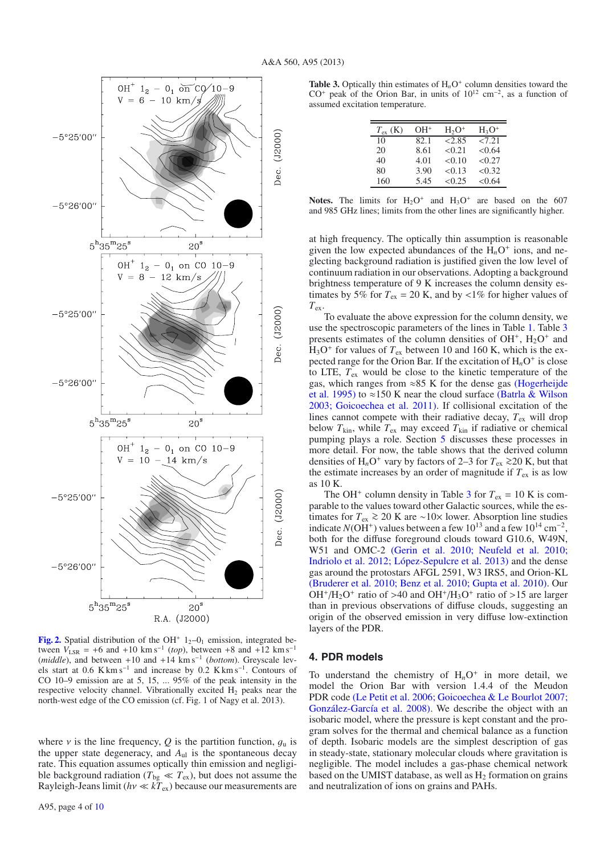

<span id="page-4-0"></span>**[Fig. 2.](http://dexter.edpsciences.org/applet.php?DOI=10.1051/0004-6361/201322164&pdf_id=2)** Spatial distribution of the OH<sup>+</sup>  $1<sub>2</sub>$ – $0<sub>1</sub>$  emission, integrated between  $V_{LSR}$  = +6 and +10 km s<sup>-1</sup> (*top*), between +8 and +12 km s<sup>-1</sup> (*middle*), and between +10 and +14 km s<sup>−</sup><sup>1</sup> (*bottom*). Greyscale levels start at 0.6 K km s<sup>−</sup><sup>1</sup> and increase by 0.2 K km s<sup>−</sup>1. Contours of CO 10–9 emission are at 5, 15, ... 95% of the peak intensity in the respective velocity channel. Vibrationally excited  $H_2$  peaks near the north-west edge of the CO emission (cf. Fig. 1 of Nagy et al. 2013).

where  $\nu$  is the line frequency, *Q* is the partition function,  $q_u$  is the upper state degeneracy, and *A*ul is the spontaneous decay rate. This equation assumes optically thin emission and negligible background radiation ( $T_{bg} \ll T_{ex}$ ), but does not assume the Rayleigh-Jeans limit ( $h\nu \ll kT_{\text{ex}}$ ) because our measurements are

<span id="page-4-1"></span>**Table 3.** Optically thin estimates of  $H<sub>n</sub>O<sup>+</sup>$  column densities toward the  $CO<sup>+</sup>$  peak of the Orion Bar, in units of  $10^{12}$  cm<sup>-2</sup>, as a function of assumed excitation temperature.

| $T_{\rm ex}$ (K) | $OH+$ | $H_2O^+$      | $H_3O^+$ |
|------------------|-------|---------------|----------|
| 10               | 82.1  | $\sqrt{2.85}$ | 27.21    |
| 20               | 8.61  | < 0.21        | < 0.64   |
| 40               | 4.01  | < 0.10        | < 0.27   |
| 80               | 3.90  | < 0.13        | < 0.32   |
| 160              | 5.45  | < 0.25        | < 0.64   |

**Notes.** The limits for  $H_2O^+$  and  $H_3O^+$  are based on the 607 and 985 GHz lines; limits from the other lines are significantly higher.

at high frequency. The optically thin assumption is reasonable given the low expected abundances of the  $H_nO^+$  ions, and neglecting background radiation is justified given the low level of continuum radiation in our observations. Adopting a background brightness temperature of 9 K increases the column density estimates by 5% for  $T_{ex}$  = 20 K, and by <1% for higher values of *T*ex.

To evaluate the above expression for the column density, we use the spectroscopic parameters of the lines in Table [1.](#page-2-0) Table [3](#page-4-1) presents estimates of the column densities of  $OH^+$ ,  $H_2O^+$  and  $H_3O^+$  for values of  $T_{ex}$  between 10 and 160 K, which is the expected range for the Orion Bar. If the excitation of  $H_nO^+$  is close to LTE, *T*ex would be close to the kinetic temperature of the gas, which ranges from  $\approx 85$  K for the dense gas (Hogerheijde et al. [199](#page-9-13)[5\)](http://adsabs.harvard.edu/abs/1995A&A...294..792H) to ≈150 K near the cloud surface [\(Batrla & Wilson](#page-9-20) [2003;](#page-9-20) [Goicoechea et al. 2011](#page-9-17)[\).](http://adsabs.harvard.edu/abs/2003A&A...408..231B,2011A&A...530L..16G) If collisional excitation of the lines cannot compete with their radiative decay,  $T_{ex}$  will drop below  $T_{kin}$ , while  $T_{ex}$  may exceed  $T_{kin}$  if radiative or chemical pumping plays a role. Section [5](#page-6-0) discusses these processes in more detail. For now, the table shows that the derived column densities of H<sub>n</sub>O<sup>+</sup> vary by factors of 2–3 for  $T_{ex}$  ≥20 K, but that the estimate increases by an order of magnitude if  $T_{ex}$  is as low as 10 K.

The OH<sup>+</sup> column density in Table [3](#page-4-1) for  $T_{ex} = 10$  K is comparable to the values toward other Galactic sources, while the estimates for  $T_{ex} \ge 20$  K are ∼10× lower. Absorption line studies indicate  $N(OH^+)$  values between a few 10<sup>13</sup> and a few 10<sup>14</sup> cm<sup>-2</sup>, both for the diffuse foreground clouds toward G10.6, W49N, W51 and OMC-2 [\(Gerin et al. 2010;](#page-9-4) [Neufeld et al. 2010;](#page-10-8) [Indriolo et al. 2012;](#page-9-21) [López-Sepulcre et al. 2013](#page-9-22)[\)](http://adsabs.harvard.edu/abs/2010A&A...518L.110G,2010A&A...521L..10N,2012ApJ...758...83I,2013A&A...549A.114L) and the dense gas around the protostars AFGL 2591, W3 IRS5, and Orion-KL [\(Bruderer et al. 2010;](#page-9-23) [Benz et al. 2010](#page-9-10); [Gupta et al. 201](#page-9-24)[0\).](http://adsabs.harvard.edu/abs/2010A&A...521L..44B,2010A&A...521L..35B,2010A&A...521L..47G) Our  $OH<sup>+</sup>/H<sub>2</sub>O<sup>+</sup>$  ratio of >40 and  $OH<sup>+</sup>/H<sub>3</sub>O<sup>+</sup>$  ratio of >15 are larger than in previous observations of diffuse clouds, suggesting an origin of the observed emission in very diffuse low-extinction layers of the PDR.

## <span id="page-4-2"></span>**4. PDR models**

To understand the chemistry of  $H<sub>n</sub>O<sup>+</sup>$  in more detail, we model the Orion Bar with version 1.4.4 of the Meudon PDR code [\(Le Petit et al. 2006](#page-9-25); [Goicoechea & Le Bourlot 2007;](#page-9-26) [González-García et al. 2008](#page-9-27)[\).](http://adsabs.harvard.edu/abs/2006ApJS..164..506L,2007A&A...467....1G,2008A&A...485..127G) We describe the object with an isobaric model, where the pressure is kept constant and the program solves for the thermal and chemical balance as a function of depth. Isobaric models are the simplest description of gas in steady-state, stationary molecular clouds where gravitation is negligible. The model includes a gas-phase chemical network based on the UMIST database, as well as  $H<sub>2</sub>$  formation on grains and neutralization of ions on grains and PAHs.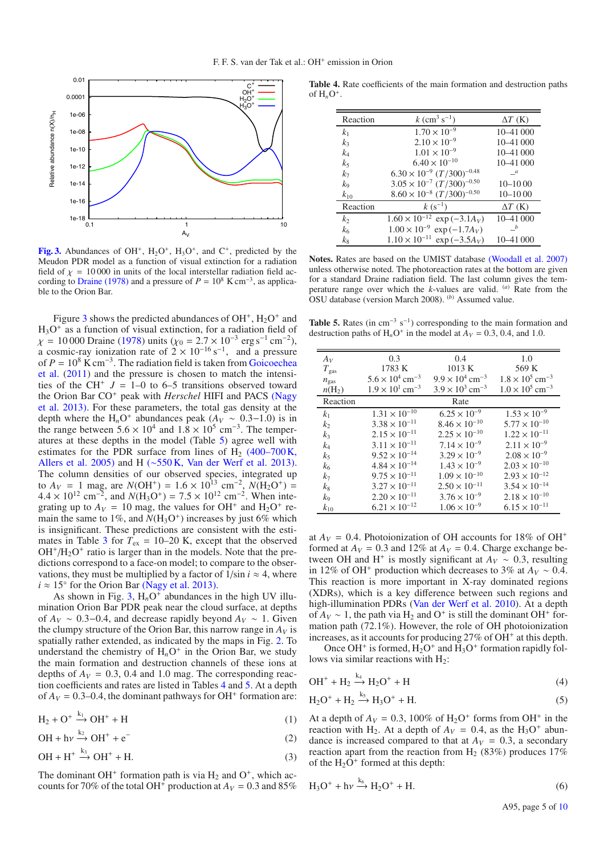<span id="page-5-0"></span>

**[Fig. 3.](http://dexter.edpsciences.org/applet.php?DOI=10.1051/0004-6361/201322164&pdf_id=3)** Abundances of OH<sup>+</sup>, H<sub>2</sub>O<sup>+</sup>, H<sub>3</sub>O<sup>+</sup>, and C<sup>+</sup>, predicted by the Meudon PDR model as a function of visual extinction for a radiation field of  $\chi = 10000$  in units of the local interstellar radiation field ac-cording to [Draine](#page-9-28) [\(1978](#page-9-28)[\)](http://adsabs.harvard.edu/abs/1978ApJS...36..595D) and a pressure of  $P = 10^8$  K cm<sup>-3</sup>, as applicable to the Orion Bar.

Figure [3](#page-5-0) shows the predicted abundances of  $OH^+$ ,  $H_2O^+$  and  $H_3O^+$  as a function of visual extinction, for a radiation field of  $\chi$  = 10 000 Draine [\(1978](#page-9-28)[\)](http://adsabs.harvard.edu/abs/1978ApJS...36..595D) units ( $\chi$ <sup>0</sup> = 2.7 × 10<sup>-3</sup> erg s<sup>-1</sup> cm<sup>-2</sup>), a cosmic-ray ionization rate of  $2 \times 10^{-16}$  s<sup>-1</sup>, and a pressure of  $P = 10^8$  K cm<sup>-3</sup>[. The radiation field is taken from](#page-9-17) Goicoechea et al. [\(2011\)](#page-9-17) and the pressure is chosen to match the intensities of the CH<sup>+</sup>  $J = 1-0$  to 6–5 transitions observed toward the Orion Bar CO<sup>+</sup> peak with *Herschel* [HIFI and PACS](#page-10-18) (Nagy et al. [201](#page-10-18)[3\).](http://adsabs.harvard.edu/abs/2013A&A...550A..96N) For these parameters, the total gas density at the depth where the  $H_nO^+$  abundances peak ( $A_V \sim 0.3-1.0$ ) is in the range between  $5.6 \times 10^4$  and  $1.8 \times 10^5$  cm<sup>-3</sup>. The temperatures at these depths in the model (Table [5\)](#page-5-1) agree well with estimates for the PDR surface from lines of  $H<sub>2</sub>$  (400–700 K, [Allers et al. 2005](#page-9-29)[\)](http://adsabs.harvard.edu/abs/2005ApJ...630..368A) and H (∼550 K, [Van der Werf et al. 2013](#page-10-23)[\).](http://adsabs.harvard.edu/abs/2013ApJ...762..101V) The column densities of our observed species, integrated up to  $A_V = 1$  mag, are  $N(OH^+) = 1.6 \times 10^{13}$  cm<sup>-2</sup>,  $N(H_2O^+) =$  $4.4 \times 10^{12}$  cm<sup>-2</sup>, and  $N(H_3O^+) = 7.5 \times 10^{12}$  cm<sup>-2</sup>. When integrating up to  $A_V = 10$  mag, the values for OH<sup>+</sup> and H<sub>2</sub>O<sup>+</sup> remain the same to  $1\%$ , and  $N(\text{H}_3\text{O}^+)$  increases by just 6% which is insignificant. These predictions are consistent with the esti-mates in Table [3](#page-4-1) for  $T_{ex} = 10{\text -}20$  K, except that the observed  $OH<sup>+</sup>/H<sub>2</sub>O<sup>+</sup>$  ratio is larger than in the models. Note that the predictions correspond to a face-on model; to compare to the observations, they must be multiplied by a factor of  $1/\sin i \approx 4$ , where  $i \approx 15^{\circ}$  for the Orion Bar [\(Nagy et al. 2013](#page-10-18)[\).](http://adsabs.harvard.edu/abs/2013A&A...550A..96N)

As shown in Fig. [3,](#page-5-0)  $H_nO^+$  abundances in the high UV illumination Orion Bar PDR peak near the cloud surface, at depths of  $A_V \sim 0.3$ –0.4, and decrease rapidly beyond  $A_V \sim 1$ . Given the clumpy structure of the Orion Bar, this narrow range in  $A_V$  is spatially rather extended, as indicated by the maps in Fig. [2.](#page-4-0) To understand the chemistry of  $H<sub>n</sub>O<sup>+</sup>$  in the Orion Bar, we study the main formation and destruction channels of these ions at depths of  $A_V = 0.3$ , 0.4 and 1.0 mag. The corresponding reaction coefficients and rates are listed in Tables [4](#page-5-2) and [5.](#page-5-1) At a depth of  $A_V = 0.3{\text{-}}0.4$ , the dominant pathways for OH<sup>+</sup> formation are:

$$
H_2 + O^+ \xrightarrow{k_1} OH^+ + H \tag{1}
$$

 $OH + hv \xrightarrow{k_2} OH^+ + e^-$  (2)

$$
\text{OH} + \text{H}^+ \xrightarrow{k_3} \text{OH}^+ + \text{H}.\tag{3}
$$

The dominant OH<sup>+</sup> formation path is via  $H_2$  and O<sup>+</sup>, which accounts for 70% of the total OH<sup>+</sup> production at  $A_V = 0.3$  and 85%

<span id="page-5-2"></span>**Table 4.** Rate coefficients of the main formation and destruction paths of  $H_nO^+$ .

| Reaction       | $k$ (cm <sup>3</sup> s <sup>-1</sup> )           | $\Delta T$ (K) |
|----------------|--------------------------------------------------|----------------|
| k <sub>1</sub> | $1.70 \times 10^{-9}$                            | 10-41 000      |
| $k_3$          | $2.10 \times 10^{-9}$                            | $10 - 41000$   |
| $k_4$          | $1.01 \times 10^{-9}$                            | $10 - 41000$   |
| k <sub>5</sub> | $6.40 \times 10^{-10}$                           | $10 - 41000$   |
| k <sub>7</sub> | $6.30 \times 10^{-9} (T/300)^{-0.48}$            | $\mathcal{I}$  |
| k9             | $3.05 \times 10^{-7} (T/300)^{-0.50}$            | $10 - 1000$    |
| $k_{10}$       | $8.60 \times 10^{-8} (T/300)^{-0.50}$            | $10 - 1000$    |
| Reaction       | $k (s^{-1})$                                     | $\Delta T$ (K) |
| k <sub>2</sub> | $1.60 \times 10^{-12}$<br>$\exp(-3.1A_V)$        | $10 - 41000$   |
| $k_6$          | $1.00 \times 10^{-9}$ exp (-1.7A <sub>V</sub> )  | b              |
| $k_{8}$        | $1.10 \times 10^{-11}$ exp (-3.5A <sub>V</sub> ) | 10-41 000      |
|                |                                                  |                |

<span id="page-5-1"></span>**Notes.** Rates are based on the UMIST database [\(Woodall et al. 200](#page-10-24)[7\)](http://adsabs.harvard.edu/abs/2007A&A...466.1197W) unless otherwise noted. The photoreaction rates at the bottom are given for a standard Draine radiation field. The last column gives the temperature range over which the *k*-values are valid. <sup>(a)</sup> Rate from the OSU database (version March 2008). (*b*) Assumed value.

**Table 5.** Rates (in cm<sup>-3</sup> s<sup>-1</sup>) corresponding to the main formation and destruction paths of  $H_nO^+$  in the model at  $A_V = 0.3, 0.4,$  and 1.0.

| $A_V$          | 0.3                                  | 0.4                                | 1.0                                |
|----------------|--------------------------------------|------------------------------------|------------------------------------|
| $T_{\rm gas}$  | 1783 K                               | 1013 K                             | 569 K                              |
| $n_{\rm gas}$  | $5.6 \times 10^4$ cm <sup>-3</sup>   | $9.9 \times 10^4$ cm <sup>-3</sup> | $1.8 \times 10^5$ cm <sup>-3</sup> |
| $n(H_2)$       | $1.9 \times 10^{1}$ cm <sup>-3</sup> | $3.9 \times 10^3$ cm <sup>-3</sup> | $1.0 \times 10^5$ cm <sup>-3</sup> |
| Reaction       |                                      | Rate                               |                                    |
| $k_1$          | $1.31 \times 10^{-10}$               | $6.25 \times 10^{-9}$              | $1.53 \times 10^{-9}$              |
| k <sub>2</sub> | $3.38 \times 10^{-11}$               | $8.46 \times 10^{-10}$             | $5.77 \times 10^{-10}$             |
| $k_3$          | $2.15 \times 10^{-11}$               | $2.25 \times 10^{-10}$             | $1.22 \times 10^{-11}$             |
| $k_4$          | $3.11\times10^{-11}$                 | $7.14 \times 10^{-9}$              | $2.11 \times 10^{-9}$              |
| k5             | $9.52 \times 10^{-14}$               | $3.29 \times 10^{-9}$              | $2.08 \times 10^{-9}$              |
| k <sub>6</sub> | $4.84 \times 10^{-14}$               | $1.43 \times 10^{-9}$              | $2.03 \times 10^{-10}$             |
| $k_7$          | $9.75\times10^{-11}$                 | $1.09 \times 10^{-10}$             | $2.93 \times 10^{-12}$             |
| $k_8$          | $3.27 \times 10^{-11}$               | $2.50 \times 10^{-11}$             | $3.54 \times 10^{-14}$             |
| kд             | $2.20 \times 10^{-11}$               | $3.76 \times 10^{-9}$              | $2.18 \times 10^{-10}$             |
| $k_{10}$       | $6.21 \times 10^{-12}$               | $1.06 \times 10^{-9}$              | $6.15 \times 10^{-11}$             |
|                |                                      |                                    |                                    |

at  $A_V = 0.4$ . Photoionization of OH accounts for 18% of OH<sup>+</sup> formed at  $A_V = 0.3$  and 12% at  $A_V = 0.4$ . Charge exchange between OH and H<sup>+</sup> is mostly significant at  $A_V \sim 0.3$ , resulting in 12% of OH<sup>+</sup> production which decreases to 3% at  $A_V \sim 0.4$ . This reaction is more important in X-ray dominated regions (XDRs), which is a key difference between such regions and high-illumination PDRs [\(Van der Werf et al. 2010\)](#page-10-9). At a depth of  $A_V \sim 1$ , the path via H<sub>2</sub> and O<sup>+</sup> is still the dominant OH<sup>+</sup> formation path (72.1%). However, the role of OH photoionization increases, as it accounts for producing  $27\%$  of OH<sup>+</sup> at this depth.

Once OH<sup>+</sup> is formed,  $H_2O^+$  and  $H_3O^+$  formation rapidly follows via similar reactions with  $H_2$ :

<span id="page-5-3"></span>
$$
\text{OH}^+ + \text{H}_2 \xrightarrow{k_4} \text{H}_2\text{O}^+ + \text{H}
$$
 (4)

$$
H_2O^+ + H_2 \xrightarrow{k_5} H_3O^+ + H. \tag{5}
$$

At a depth of  $A_V = 0.3$ , 100% of  $H_2O^+$  forms from OH<sup>+</sup> in the reaction with H<sub>2</sub>. At a depth of  $A_V = 0.4$ , as the H<sub>3</sub>O<sup>+</sup> abundance is increased compared to that at  $A_V = 0.3$ , a secondary reaction apart from the reaction from  $H_2$  (83%) produces 17% of the  $H_2O^+$  formed at this depth:

$$
H_3O^+ + h\nu \xrightarrow{k_6} H_2O^+ + H. \tag{6}
$$

A95, page 5 of [10](#page-10-6)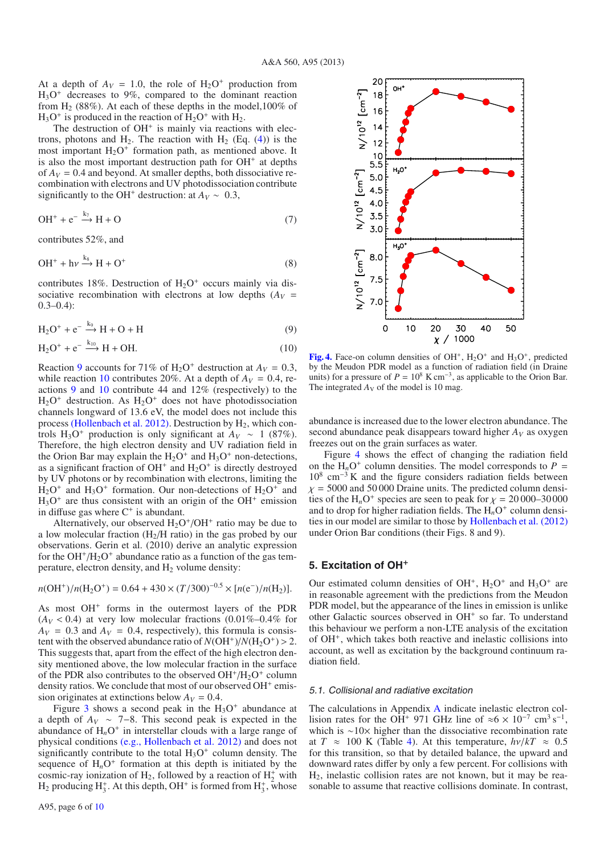At a depth of  $A_V = 1.0$ , the role of  $H_2O^+$  production from  $H_3O^+$  decreases to 9%, compared to the dominant reaction from  $H<sub>2</sub>$  (88%). At each of these depths in the model,100% of  $H_3O^+$  is produced in the reaction of  $H_2O^+$  with  $H_2$ .

The destruction of  $OH<sup>+</sup>$  is mainly via reactions with electrons, photons and H<sub>2</sub>. The reaction with H<sub>2</sub> (Eq.  $(4)$ ) is the most important  $H_2O^+$  formation path, as mentioned above. It is also the most important destruction path for  $OH<sup>+</sup>$  at depths of  $A_V = 0.4$  and beyond. At smaller depths, both dissociative recombination with electrons and UV photodissociation contribute significantly to the OH<sup>+</sup> destruction: at  $A_V \sim 0.3$ ,

$$
OH^{+} + e^{-} \xrightarrow{k_{7}} H + O \tag{7}
$$

contributes 52%, and

$$
\mathrm{OH}^+ + \mathrm{h}\nu \xrightarrow{\mathrm{kg}} \mathrm{H} + \mathrm{O}^+\tag{8}
$$

contributes 18%. Destruction of  $H_2O^+$  occurs mainly via dissociative recombination with electrons at low depths  $(A_V =$  $0.3 - 0.4$ :

<span id="page-6-1"></span>
$$
H_2O^+ + e^- \xrightarrow{k_9} H + O + H \tag{9}
$$

$$
H_2O^+ + e^{-} \xrightarrow{k_{10}} H + OH.
$$
 (10)

Reaction [9](#page-6-1) accounts for 71% of  $H_2O^+$  destruction at  $A_V = 0.3$ , while reaction [10](#page-6-1) contributes 20%. At a depth of  $A_V = 0.4$ , reactions [9](#page-6-1) and [10](#page-6-1) contribute 44 and 12% (respectively) to the  $H_2O^+$  destruction. As  $H_2O^+$  does not have photodissociation channels longward of 13.6 eV, the model does not include this process [\(Hollenbach et al. 2012](#page-9-6)[\).](http://adsabs.harvard.edu/abs/2012ApJ...754..105H) Destruction by  $H_2$ , which controls H<sub>3</sub>O<sup>+</sup> production is only significant at  $A_V \sim 1$  (87%). Therefore, the high electron density and UV radiation field in the Orion Bar may explain the  $H_2O^+$  and  $H_3O^+$  non-detections, as a significant fraction of  $OH<sup>+</sup>$  and  $H<sub>2</sub>O<sup>+</sup>$  is directly destroyed by UV photons or by recombination with electrons, limiting the  $H_2O^+$  and  $H_3O^+$  formation. Our non-detections of  $H_2O^+$  and  $H_3O^+$  are thus consistent with an origin of the OH<sup>+</sup> emission in diffuse gas where  $C^+$  is abundant.

Alternatively, our observed  $H_2O^+/OH^+$  ratio may be due to a low molecular fraction  $(H_2/H \text{ ratio})$  in the gas probed by our observations. Gerin et al. (2010) derive an analytic expression for the  $OH^+/H_2O^+$  abundance ratio as a function of the gas temperature, electron density, and  $H_2$  volume density:

$$
n(OH^{+})/n(H_{2}O^{+}) = 0.64 + 430 \times (T/300)^{-0.5} \times [n(e^{-})/n(H_{2})].
$$

As most OH<sup>+</sup> forms in the outermost layers of the PDR  $(A_V < 0.4)$  at very low molecular fractions  $(0.01\% - 0.4\%$  for  $A_V = 0.3$  and  $A_V = 0.4$ , respectively), this formula is consistent with the observed abundance ratio of  $N(OH^+)/N(H_2O^+) > 2$ . This suggests that, apart from the effect of the high electron density mentioned above, the low molecular fraction in the surface of the PDR also contributes to the observed  $OH^+/H_2O^+$  column density ratios. We conclude that most of our observed OH<sup>+</sup> emission originates at extinctions below  $A_V = 0.4$ .

Figure [3](#page-5-0) shows a second peak in the  $H_3O^+$  abundance at a depth of  $A_V \sim 7-8$ . This second peak is expected in the abundance of  $H_nO^+$  in interstellar clouds with a large range of physical conditions (e.g., [Hollenbach et al. 201](#page-9-6)[2\)](http://adsabs.harvard.edu/abs/2012ApJ...754..105H) and does not significantly contribute to the total  $H_3O^+$  column density. The sequence of  $H_nO^+$  formation at this depth is initiated by the cosmic-ray ionization of H<sub>2</sub>, followed by a reaction of  $H_2^+$  with  $H_2$  producing  $H_3^+$ . At this depth, OH<sup>+</sup> is formed from  $H_3^+$ , whose



<span id="page-6-2"></span>[Fig. 4.](http://dexter.edpsciences.org/applet.php?DOI=10.1051/0004-6361/201322164&pdf_id=4) Face-on column densities of  $OH^+$ ,  $H_2O^+$  and  $H_3O^+$ , predicted by the Meudon PDR model as a function of radiation field (in Draine units) for a pressure of  $P = 10^8$  K cm<sup>-3</sup>, as applicable to the Orion Bar. The integrated  $A_V$  of the model is 10 mag.

abundance is increased due to the lower electron abundance. The second abundance peak disappears toward higher  $A_V$  as oxygen freezes out on the grain surfaces as water.

Figure [4](#page-6-2) shows the effect of changing the radiation field on the  $H_nO^+$  column densities. The model corresponds to  $P =$  $10^8$  cm<sup>-3</sup> K and the figure considers radiation fields between  $\chi$  = 5000 and 50 000 Draine units. The predicted column densities of the H<sub>n</sub>O<sup>+</sup> species are seen to peak for  $\chi = 20000-30000$ and to drop for higher radiation fields. The  $H_nO^+$  column densities in our model are similar to those by [Hollenbach et al.](#page-9-6) [\(201](#page-9-6)[2\)](http://adsabs.harvard.edu/abs/2012ApJ...754..105H) under Orion Bar conditions (their Figs. 8 and 9).

## <span id="page-6-0"></span>**5. Excitation of OH**<sup>+</sup>

Our estimated column densities of  $OH^+$ ,  $H_2O^+$  and  $H_3O^+$  are in reasonable agreement with the predictions from the Meudon PDR model, but the appearance of the lines in emission is unlike other Galactic sources observed in  $OH<sup>+</sup>$  so far. To understand this behaviour we perform a non-LTE analysis of the excitation of OH<sup>+</sup>, which takes both reactive and inelastic collisions into account, as well as excitation by the background continuum radiation field.

#### <span id="page-6-3"></span>5.1. Collisional and radiative excitation

The calculations in Appendix [A](#page-9-30) indicate inelastic electron collision rates for the OH<sup>+</sup> 971 GHz line of  $\approx 6 \times 10^{-7}$  cm<sup>3</sup> s<sup>-1</sup>, which is ∼10× higher than the dissociative recombination rate at  $T \approx 100$  K (Table [4\)](#page-5-2). At this temperature,  $h\nu/kT \approx 0.5$ for this transition, so that by detailed balance, the upward and downward rates differ by only a few percent. For collisions with H2, inelastic collision rates are not known, but it may be reasonable to assume that reactive collisions dominate. In contrast,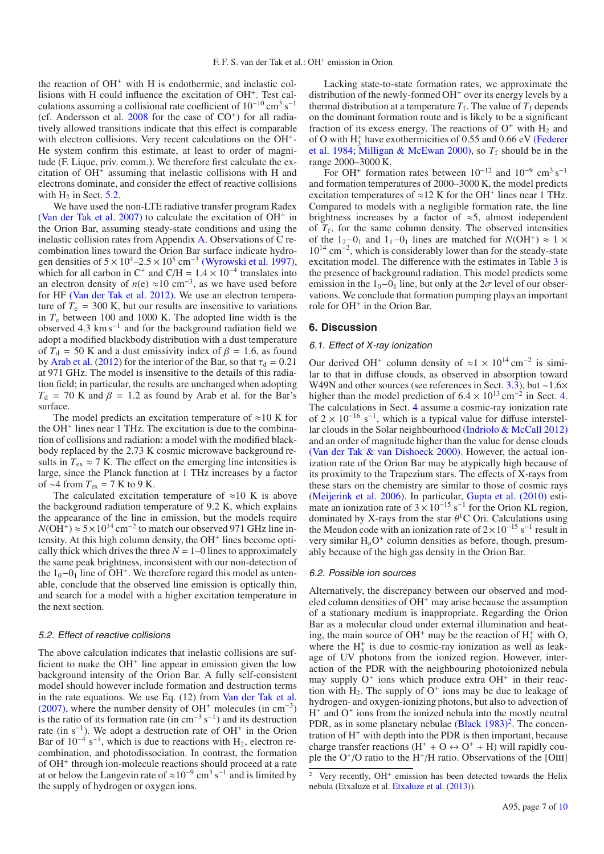the reaction of OH<sup>+</sup> with H is endothermic, and inelastic collisions with H could influence the excitation of OH<sup>+</sup>. Test calculations assuming a collisional rate coefficient of 10−<sup>10</sup> cm<sup>3</sup> s−<sup>1</sup> (cf. Andersson et al.  $2008$  for the case of  $CO<sup>+</sup>$ ) for all radiatively allowed transitions indicate that this effect is comparable with electron collisions. Very recent calculations on the OH<sup>+</sup>-He system confirm this estimate, at least to order of magnitude (F. Lique, priv. comm.). We therefore first calculate the excitation of OH<sup>+</sup> assuming that inelastic collisions with H and electrons dominate, and consider the effect of reactive collisions with  $H_2$  in Sect. [5.2.](#page-7-0)

We have used the non-LTE radiative transfer program Radex [\(Van der Tak et al. 2007](#page-10-25)[\)](http://adsabs.harvard.edu/abs/2007A&A...468..627V) to calculate the excitation of  $OH<sup>+</sup>$  in the Orion Bar, assuming steady-state conditions and using the inelastic collision rates from Appendix [A.](#page-9-30) Observations of C recombination lines toward the Orion Bar surface indicate hydrogen densities of  $5 \times 10^4 - 2.5 \times 10^5$  cm<sup>-3</sup> [\(Wyrowski et al. 1997](#page-10-26)[\),](http://adsabs.harvard.edu/abs/1997ApJ...487L.171W) which for all carbon in C<sup>+</sup> and C/H =  $1.4 \times 10^{-4}$  translates into an electron density of  $n(e) \approx 10 \text{ cm}^{-3}$ , as we have used before for HF [\(Van der Tak et al. 2012](#page-10-11)[\).](http://adsabs.harvard.edu/abs/2012A&A...537L..10V) We use an electron temperature of  $T_e = 300$  K, but our results are insensitive to variations in  $T_e$  between 100 and 1000 K. The adopted line width is the observed 4.3 km s−<sup>1</sup> and for the background radiation field we adopt a modified blackbody distribution with a dust temperature of  $T_d$  = 50 K and a dust emissivity index of  $\beta$  = 1.6, as found by [Arab et al.](#page-9-12) [\(2012\)](#page-9-12) for the interior of the Bar, so that  $\tau_d = 0.21$ at 971 GHz. The model is insensitive to the details of this radiation field; in particular, the results are unchanged when adopting  $T<sub>d</sub>$  = 70 K and  $\beta$  = 1.2 as found by Arab et al. for the Bar's surface.

The model predicts an excitation temperature of  $\approx 10$  K for the OH<sup>+</sup> lines near 1 THz. The excitation is due to the combination of collisions and radiation: a model with the modified blackbody replaced by the 2.73 K cosmic microwave background results in  $T_{ex} \approx 7$  K. The effect on the emerging line intensities is large, since the Planck function at 1 THz increases by a factor of ~4 from  $T_{ex}$  = 7 K to 9 K.

The calculated excitation temperature of  $\approx 10$  K is above the background radiation temperature of 9.2 K, which explains the appearance of the line in emission, but the models require  $N(OH^+) \approx 5 \times 10^{14}$  cm<sup>-2</sup> to match our observed 971 GHz line intensity. At this high column density, the  $OH<sup>+</sup>$  lines become optically thick which drives the three  $N = 1-0$  lines to approximately the same peak brightness, inconsistent with our non-detection of the  $1<sub>0</sub>$  –0<sub>1</sub> line of OH<sup>+</sup>. We therefore regard this model as untenable, conclude that the observed line emission is optically thin, and search for a model with a higher excitation temperature in the next section.

#### <span id="page-7-0"></span>5.2. Effect of reactive collisions

The above calculation indicates that inelastic collisions are sufficient to make the  $OH<sup>+</sup>$  line appear in emission given the low background intensity of the Orion Bar. A fully self-consistent model should however include formation and destruction terms in the rate equations. We use Eq. (12) from [Van der Tak et al.](#page-10-25)  $(2007)$  $(2007)$ , where the number density of OH<sup>+</sup> molecules (in cm<sup>-3</sup>) is the ratio of its formation rate (in cm<sup>-3</sup> s<sup>-1</sup>) and its destruction rate (in  $s^{-1}$ ). We adopt a destruction rate of OH<sup>+</sup> in the Orion Bar of  $10^{-4}$  s<sup>-1</sup>, which is due to reactions with H<sub>2</sub>, electron recombination, and photodissociation. In contrast, the formation of OH<sup>+</sup> through ion-molecule reactions should proceed at a rate at or below the Langevin rate of  $\approx 10^{-9}$  cm<sup>3</sup> s<sup>-1</sup> and is limited by the supply of hydrogen or oxygen ions.

Lacking state-to-state formation rates, we approximate the distribution of the newly-formed  $OH<sup>+</sup>$  over its energy levels by a thermal distribution at a temperature  $T_f$ . The value of  $T_f$  depends on the dominant formation route and is likely to be a significant fraction of its excess energy. The reactions of  $O^+$  with  $H_2$  and of O with  $H_3^+$  [have exothermicities of 0.55 and 0.66 eV](#page-9-32) (Federer et al. [1984;](#page-9-32) [Milligan & McEwan 2000](#page-10-27)[\),](http://adsabs.harvard.edu/abs/1984PhRvL..52.2084F,2000CPL...319..482M) so  $T_f$  should be in the range 2000–3000 K.

For OH<sup>+</sup> formation rates between  $10^{-12}$  and  $10^{-9}$  cm<sup>3</sup> s<sup>-1</sup> and formation temperatures of 2000–3000 K, the model predicts excitation temperatures of  $\approx$ 12 K for the OH<sup>+</sup> lines near 1 THz. Compared to models with a negligible formation rate, the line brightness increases by a factor of  $\approx$ 5, almost independent of  $T_f$ , for the same column density. The observed intensities of the 1<sub>2</sub>−0<sub>1</sub> and 1<sub>1</sub>−0<sub>1</sub> lines are matched for  $N(OH^+) \approx 1 \times$ 10<sup>14</sup> cm<sup>−</sup>2, which is considerably lower than for the steady-state excitation model. The difference with the estimates in Table [3](#page-4-1) is the presence of background radiation. This model predicts some emission in the  $1_0-0_1$  line, but only at the  $2\sigma$  level of our observations. We conclude that formation pumping plays an important role for OH<sup>+</sup> in the Orion Bar.

## **6. Discussion**

#### 6.1. Effect of X-ray ionization

Our derived OH<sup>+</sup> column density of  $\approx$ 1 × 10<sup>14</sup> cm<sup>-2</sup> is similar to that in diffuse clouds, as observed in absorption toward W49N and other sources (see references in Sect. [3.3\)](#page-3-1), but ∼1.6× higher than the model prediction of  $6.4 \times 10^{13}$  cm<sup>-2</sup> in Sect. [4.](#page-4-2) The calculations in Sect. [4](#page-4-2) assume a cosmic-ray ionization rate of  $2 \times 10^{-16}$  s<sup>-1</sup>, which is a typical value for diffuse interstellar clouds in the Solar neighbourhood [\(Indriolo & McCall 201](#page-9-33)[2\)](http://adsabs.harvard.edu/abs/2012ApJ...745...91I) and an order of magnitude higher than the value for dense clouds [\(Van der Tak & van Dishoeck 200](#page-10-28)[0\).](http://adsabs.harvard.edu/abs/2000A&A...358L..79V) However, the actual ionization rate of the Orion Bar may be atypically high because of its proximity to the Trapezium stars. The effects of X-rays from these stars on the chemistry are similar to those of cosmic rays [\(Meijerink et al. 2006\)](#page-10-29). In particular, [Gupta et al.](#page-9-24) [\(201](#page-9-24)[0\)](http://adsabs.harvard.edu/abs/2010A&A...521L..47G) estimate an ionization rate of  $3 \times 10^{-15}$  s<sup>-1</sup> for the Orion KL region, dominated by X-rays from the star  $\theta$ <sup>1</sup>C Ori. Calculations using the Meudon code with an ionization rate of  $2 \times 10^{-15}$  s<sup>-1</sup> result in very similar  $H_nO^+$  column densities as before, though, presumably because of the high gas density in the Orion Bar.

#### 6.2. Possible ion sources

<span id="page-7-1"></span>Alternatively, the discrepancy between our observed and modeled column densities of  $OH<sup>+</sup>$  may arise because the assumption of a stationary medium is inappropriate. Regarding the Orion Bar as a molecular cloud under external illumination and heating, the main source of OH<sup>+</sup> may be the reaction of  $H_3^+$  with O, where the  $H_3^+$  is due to cosmic-ray ionization as well as leakage of UV photons from the ionized region. However, interaction of the PDR with the neighbouring photoionized nebula may supply  $O^+$  ions which produce extra  $OH^+$  in their reaction with  $H_2$ . The supply of  $O^+$  ions may be due to leakage of hydrogen- and oxygen-ionizing photons, but also to advection of  $H^+$  and  $O^+$  ions from the ionized nebula into the mostly neutral PDR, as in some planetary nebulae  $(Black 1983)^2$  $(Black 1983)^2$  $(Black 1983)^2$  $(Black 1983)^2$ . The concentration of  $H^+$  with depth into the PDR is then important, because charge transfer reactions ( $H^+ + O \leftrightarrow O^+ + H$ ) will rapidly couple the  $O^+/O$  ratio to the H<sup>+</sup>/H ratio. Observations of the [OIII]

<sup>&</sup>lt;sup>2</sup> Very recently,  $OH<sup>+</sup>$  emission has been detected towards the Helix nebula (Etxaluze et al. [Etxaluze et al.](#page-9-35) [\(2013\)](#page-9-35)).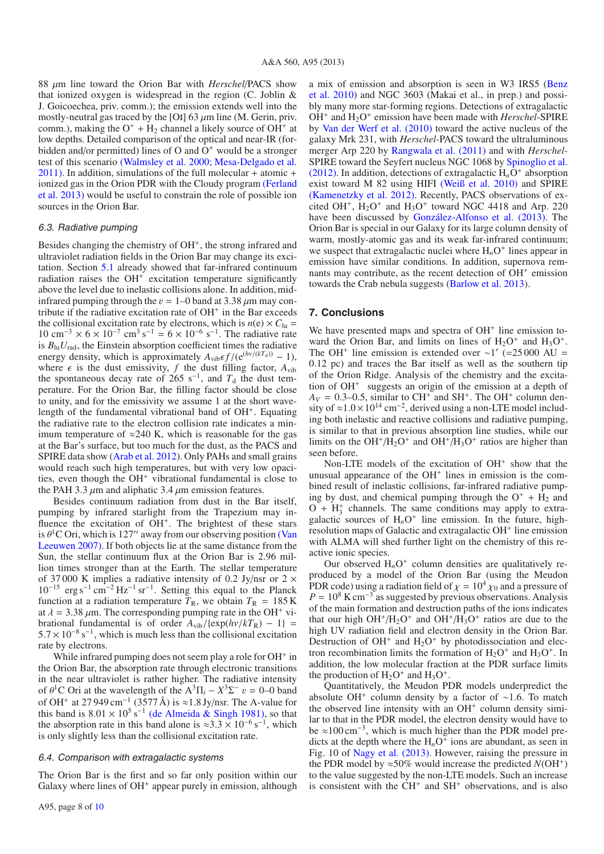<sup>88</sup> μm line toward the Orion Bar with *Herschel*/PACS show that ionized oxygen is widespread in the region (C. Joblin & J. Goicoechea, priv. comm.); the emission extends well into the mostly-neutral gas traced by the [OI] 63  $\mu$ m line (M. Gerin, priv. comm.), making the  $O^+$  + H<sub>2</sub> channel a likely source of  $OH^+$  at low depths. Detailed comparison of the optical and near-IR (forbidden and/or permitted) lines of O and  $\overline{O}^+$  would be a stronger test of this scenario [\(Walmsley et al. 2000](#page-10-30); [Mesa-Delgado et al.](#page-10-31)  $2011$ [\).](http://adsabs.harvard.edu/abs/2000A&A...364..301W,2011MNRAS.417..420M) In addition, simulations of the full molecular + atomic + ioni[zed](#page-9-36) [gas](#page-9-36) [in](#page-9-36) [the](#page-9-36) [Orion](#page-9-36) [PDR](#page-9-36) [with](#page-9-36) [the](#page-9-36) [Cloudy](#page-9-36) [program](#page-9-36) (Ferland et al. [2013](#page-9-36)[\)](http://adsabs.harvard.edu/abs/2013RMxAA..49..137F) would be useful to constrain the role of possible ion sources in the Orion Bar.

#### 6.3. Radiative pumping

Besides changing the chemistry of  $OH<sup>+</sup>$ , the strong infrared and ultraviolet radiation fields in the Orion Bar may change its excitation. Section [5.1](#page-6-3) already showed that far-infrared continuum radiation raises the  $OH<sup>+</sup>$  excitation temperature significantly above the level due to inelastic collisions alone. In addition, midinfrared pumping through the  $v = 1-0$  band at 3.38  $\mu$ m may contribute if the radiative excitation rate of  $OH<sup>+</sup>$  in the Bar exceeds the collisional excitation rate by electrons, which is  $n(e) \times C_{lu}$  $10 \text{ cm}^{-3} \times 6 \times 10^{-7} \text{ cm}^3 \text{ s}^{-1} = 6 \times 10^{-6} \text{ s}^{-1}$ . The radiative rate is  $B_{\text{lu}}U_{\text{rad}}$ , the Einstein absorption coefficient times the radiative energy density, which is approximately  $A_{\text{vib}} \epsilon f / (e^{(h\nu/(kT_d))} - 1)$ , where  $\epsilon$  is the dust emissivity, *f* the dust filling factor,  $A_{\text{vib}}$ the spontaneous decay rate of 265 s<sup>-1</sup>, and  $T<sub>d</sub>$  the dust temperature. For the Orion Bar, the filling factor should be close to unity, and for the emissivity we assume 1 at the short wavelength of the fundamental vibrational band of OH<sup>+</sup>. Equating the radiative rate to the electron collision rate indicates a minimum temperature of  $\approx$  240 K, which is reasonable for the gas at the Bar's surface, but too much for the dust, as the PACS and SPIRE data show [\(Arab et al. 2012](#page-9-12)). Only PAHs and small grains would reach such high temperatures, but with very low opacities, even though the OH<sup>+</sup> vibrational fundamental is close to the PAH 3.3  $\mu$ m and aliphatic 3.4  $\mu$ m emission features.

Besides continuum radiation from dust in the Bar itself, pumping by infrared starlight from the Trapezium may influence the excitation of OH<sup>+</sup>. The brightest of these stars is  $\theta$ <sup>1</sup>C Ori, which is 127" [away from our observing position](#page-10-32) (Van Leeuwen [2007](#page-10-32)[\).](http://adsabs.harvard.edu/abs/2007A&A...474..653V) If both objects lie at the same distance from the Sun, the stellar continuum flux at the Orion Bar is 2.96 million times stronger than at the Earth. The stellar temperature of 37000 K implies a radiative intensity of 0.2 Jy/nsr or  $2 \times$  $10^{-15}$  erg s<sup>-1</sup> cm<sup>-2</sup> Hz<sup>-1</sup> sr<sup>-1</sup>. Setting this equal to the Planck function at a radiation temperature  $T_R$ , we obtain  $T_R = 185 \text{ K}$ at  $\lambda = 3.38 \mu$ m. The corresponding pumping rate in the OH<sup>+</sup> vibrational fundamental is of order  $A_{vib}/(exp(hv/kT_R) - 1)$  =  $5.7 \times 10^{-8}$  s<sup>-1</sup>, which is much less than the collisional excitation rate by electrons.

While infrared pumping does not seem play a role for  $OH<sup>+</sup>$  in the Orion Bar, the absorption rate through electronic transitions in the near ultraviolet is rather higher. The radiative intensity of  $\theta$ <sup>1</sup>C Ori at the wavelength of the A<sup>3</sup> $\Pi$ <sub>*i*</sub> −  $X$ <sup>3</sup> $\Sigma$ <sup>-</sup> *v* = 0–0 band of OH<sup>+</sup> at 27 949 cm<sup>-1</sup> (3577 Å) is ≈1.8 Jy/nsr. The A-value for this band is  $8.01 \times 10^5$  s<sup>-1</sup> [\(de Almeida & Singh 198](#page-9-37)[1\),](http://adsabs.harvard.edu/abs/1981A&A....95..383D) so that the absorption rate in this band alone is  $\approx 3.3 \times 10^{-6}$  s<sup>-1</sup>, which is only slightly less than the collisional excitation rate.

#### 6.4. Comparison with extragalactic systems

The Orion Bar is the first and so far only position within our Galaxy where lines of  $OH<sup>+</sup>$  appear purely in emission, although a mi[x of emission and absorption is seen in W3 IRS5 \(](#page-9-10)Benz et al. [2010](#page-9-10)) and NGC 3603 (Makai et al., in prep.) and possibly many more star-forming regions. Detections of extragalactic OH<sup>+</sup> and H<sub>2</sub>O<sup>+</sup> emission have been made with *Herschel*-SPIRE by [Van der Werf et al.](#page-10-9) [\(2010](#page-10-9)[\)](http://adsabs.harvard.edu/abs/2010A&A...518L..42V) toward the active nucleus of the galaxy Mrk 231, with *Herschel*-PACS toward the ultraluminous merger Arp 220 by [Rangwala et al.](#page-10-33) [\(201](#page-10-33)[1\)](http://adsabs.harvard.edu/abs/2011ApJ...743...94R) and with *Herschel*-SPIRE toward the Seyfert nucleus NGC 1068 by [Spinoglio et al.](#page-10-34) [\(2012](#page-10-34)[\).](http://adsabs.harvard.edu/abs/2012ApJ...758..108S) In addition, detections of extragalactic  $H_nO^+$  absorption exist toward M 82 using HIFI [\(Weiß et al. 2010](#page-10-5)[\)](http://adsabs.harvard.edu/abs/2010A&A...521L...1W) and SPIRE [\(Kamenetzky et al. 2012](#page-9-38)[\).](http://adsabs.harvard.edu/abs/2012ApJ...753...70K) Recently, PACS observations of excited OH<sup>+</sup>, H<sub>2</sub>O<sup>+</sup> and H<sub>3</sub>O<sup>+</sup> toward NGC 4418 and Arp. 220 have been discussed by [González-Alfonso et al.](#page-9-39) [\(2013](#page-9-39)[\).](http://adsabs.harvard.edu/abs/2013A&A...550A..25G) The Orion Bar is special in our Galaxy for its large column density of warm, mostly-atomic gas and its weak far-infrared continuum; we suspect that extragalactic nuclei where  $H_nO^+$  lines appear in emission have similar conditions. In addition, supernova remnants may contribute, as the recent detection of  $OH<sup>+</sup>$  emission towards the Crab nebula suggests [\(Barlow et al. 2013\)](#page-9-40).

#### **7. Conclusions**

We have presented maps and spectra of  $OH<sup>+</sup>$  line emission toward the Orion Bar, and limits on lines of  $H_2O^+$  and  $H_3O^+$ . The OH<sup>+</sup> line emission is extended over ∼1' (=25 000 AU = 0.12 pc) and traces the Bar itself as well as the southern tip of the Orion Ridge. Analysis of the chemistry and the excitation of OH<sup>+</sup> suggests an origin of the emission at a depth of  $A_V = 0.3{\text{-}}0.5$ , similar to CH<sup>+</sup> and SH<sup>+</sup>. The OH<sup>+</sup> column density of ≈1.0×10<sup>14</sup> cm<sup>-2</sup>, derived using a non-LTE model including both inelastic and reactive collisions and radiative pumping, is similar to that in previous absorption line studies, while our limits on the  $OH^+/H_2O^+$  and  $OH^+/H_3O^+$  ratios are higher than seen before.

Non-LTE models of the excitation of  $OH<sup>+</sup>$  show that the unusual appearance of the  $OH<sup>+</sup>$  lines in emission is the combined result of inelastic collisions, far-infrared radiative pumping by dust, and chemical pumping through the  $O^+ + H_2$  and  $O + H_3^+$  channels. The same conditions may apply to extragalactic sources of  $H_nO^+$  line emission. In the future, highresolution maps of Galactic and extragalactic OH<sup>+</sup> line emission with ALMA will shed further light on the chemistry of this reactive ionic species.

Our observed  $H_nO^+$  column densities are qualitatively reproduced by a model of the Orion Bar (using the Meudon PDR code) using a radiation field of  $\chi = 10^4 \chi_0$  and a pressure of  $P = 10^8$  K cm<sup>-3</sup> as suggested by previous observations. Analysis of the main formation and destruction paths of the ions indicates that our high  $OH^+/H_2O^+$  and  $OH^+/H_3O^+$  ratios are due to the high UV radiation field and electron density in the Orion Bar. Destruction of  $OH<sup>+</sup>$  and  $H<sub>2</sub>O<sup>+</sup>$  by photodissociation and electron recombination limits the formation of  $H_2O^+$  and  $H_3O^+$ . In addition, the low molecular fraction at the PDR surface limits the production of  $H_2O^+$  and  $H_3O^+$ .

Quantitatively, the Meudon PDR models underpredict the absolute OH<sup>+</sup> column density by a factor of ∼1.6. To match the observed line intensity with an  $OH<sup>+</sup>$  column density similar to that in the PDR model, the electron density would have to be ≈100 cm<sup>−</sup>3, which is much higher than the PDR model predicts at the depth where the  $H_nO^+$  ions are abundant, as seen in Fig. 10 of [Nagy et al.](#page-10-18) [\(2013](#page-10-18)[\).](http://adsabs.harvard.edu/abs/2013A&A...550A..96N) However, raising the pressure in the PDR model by  $\approx$ 50% would increase the predicted *N*(OH<sup>+</sup>) to the value suggested by the non-LTE models. Such an increase is consistent with the  $CH^+$  and  $SH^+$  observations, and is also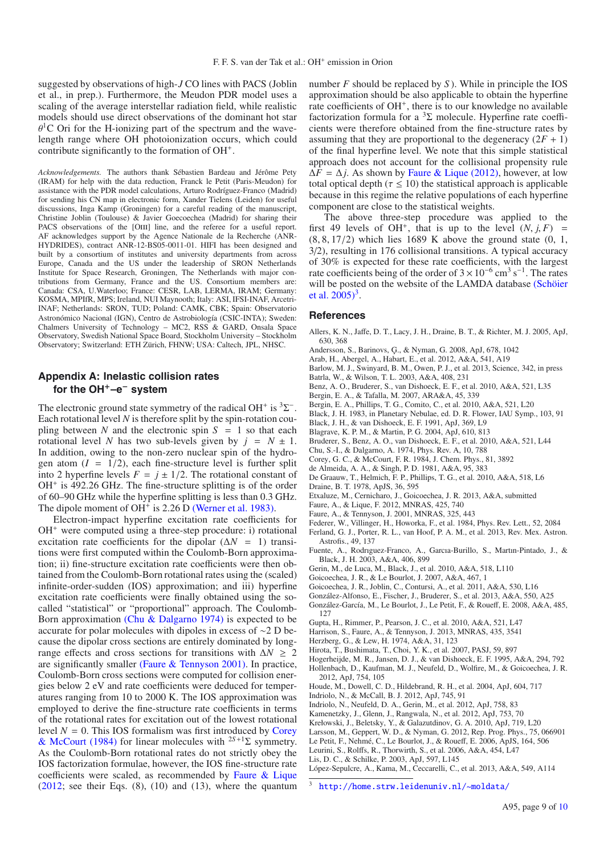suggested by observations of high-*J* CO lines with PACS (Joblin et al., in prep.). Furthermore, the Meudon PDR model uses a scaling of the average interstellar radiation field, while realistic models should use direct observations of the dominant hot star  $\theta$ <sup>1</sup>C Ori for the H-ionizing part of the spectrum and the wavelength range where OH photoionization occurs, which could contribute significantly to the formation of OH<sup>+</sup>.

*Acknowledgements.* The authors thank Sébastien Bardeau and Jérôme Pety (IRAM) for help with the data reduction, Franck le Petit (Paris-Meudon) for assistance with the PDR model calculations, Arturo Rodríguez-Franco (Madrid) for sending his CN map in electronic form, Xander Tielens (Leiden) for useful discussions, Inga Kamp (Groningen) for a careful reading of the manuscript, Christine Joblin (Toulouse) & Javier Goecoechea (Madrid) for sharing their PACS observations of the [OIII] line, and the referee for a useful report. AF acknowledges support by the Agence Nationale de la Recherche (ANR-HYDRIDES), contract ANR-12-BS05-0011-01. HIFI has been designed and built by a consortium of institutes and university departments from across Europe, Canada and the US under the leadership of SRON Netherlands Institute for Space Research, Groningen, The Netherlands with major contributions from Germany, France and the US. Consortium members are: Canada: CSA, U.Waterloo; France: CESR, LAB, LERMA, IRAM; Germany: KOSMA, MPIfR, MPS; Ireland, NUI Maynooth; Italy: ASI, IFSI-INAF, Arcetri-INAF; Netherlands: SRON, TUD; Poland: CAMK, CBK; Spain: Observatorio Astronómico Nacional (IGN), Centro de Astrobiología (CSIC-INTA); Sweden: Chalmers University of Technology – MC2, RSS & GARD, Onsala Space Observatory, Swedish National Space Board, Stockholm University – Stockholm Observatory; Switzerland: ETH Zürich, FHNW; USA: Caltech, JPL, NHSC.

## <span id="page-9-30"></span>**Appendix A: Inelastic collision rates for the OH**+**–e**<sup>−</sup> **system**

The electronic ground state symmetry of the radical OH<sup>+</sup> is <sup>3</sup>Σ<sup>−</sup>. Each rotational level *N* is therefore split by the spin-rotation coupling between *N* and the electronic spin  $S = 1$  so that each rotational level *N* has two sub-levels given by  $j = N \pm 1$ . In addition, owing to the non-zero nuclear spin of the hydrogen atom  $(I = 1/2)$ , each fine-structure level is further split into 2 hyperfine levels  $F = j \pm 1/2$ . The rotational constant of  $OH<sup>+</sup>$  is 492.26 GHz. The fine-structure splitting is of the order of 60–90 GHz while the hyperfine splitting is less than 0.3 GHz. The dipole moment of OH<sup>+</sup> is 2.26 D [\(Werner et al. 198](#page-10-35)[3\).](http://adsabs.harvard.edu/abs/1983JChPh..79..905W)

Electron-impact hyperfine excitation rate coefficients for OH<sup>+</sup> were computed using a three-step procedure: i) rotational excitation rate coefficients for the dipolar  $(\Delta N = 1)$  transitions were first computed within the Coulomb-Born approximation; ii) fine-structure excitation rate coefficients were then obtained from the Coulomb-Born rotational rates using the (scaled) infinite-order-sudden (IOS) approximation; and iii) hyperfine excitation rate coefficients were finally obtained using the socalled "statistical" or "proportional" approach. The Coulomb-Born approximation [\(Chu & Dalgarno 197](#page-9-41)[4\)](http://adsabs.harvard.edu/abs/1974PhRvA..10..788C) is expected to be accurate for polar molecules with dipoles in excess of ∼2 D because the dipolar cross sections are entirely dominated by longrange effects and cross sections for transitions with  $\Delta N \geq 2$ are significantly smaller [\(Faure & Tennyson 2001](#page-9-42)[\).](http://adsabs.harvard.edu/abs/2001MNRAS.325..443F) In practice, Coulomb-Born cross sections were computed for collision energies below 2 eV and rate coefficients were deduced for temperatures ranging from 10 to 2000 K. The IOS approximation was employed to derive the fine-structure rate coefficients in terms of the rotational rates for excitation out of the lowest rotational level  $N = 0$ . [This](#page-9-43) [IOS](#page-9-43) [formalism](#page-9-43) [was](#page-9-43) [first](#page-9-43) [introduced](#page-9-43) [by](#page-9-43) Corey & McCourt [\(1984](#page-9-43)[\)](http://adsabs.harvard.edu/abs/1984JChPh..81.3892C) for linear molecules with <sup>2</sup>*S*+<sup>1</sup>Σ symmetry. As the Coulomb-Born rotational rates do not strictly obey the IOS factorization formulae, however, the IOS fine-structure rate coefficients were scaled, as recommended by [Faure & Lique](#page-9-44)  $(2012;$  $(2012;$  see their Eqs.  $(8)$ ,  $(10)$  and  $(13)$ , where the quantum

number *F* should be replaced by *S* ). While in principle the IOS approximation should be also applicable to obtain the hyperfine rate coefficients of OH<sup>+</sup>, there is to our knowledge no available factorization formula for a  ${}^{3}\Sigma$  molecule. Hyperfine rate coefficients were therefore obtained from the fine-structure rates by assuming that they are proportional to the degeneracy  $(2F + 1)$ of the final hyperfine level. We note that this simple statistical approach does not account for the collisional propensity rule  $\Delta F = \Delta j$ . As shown by [Faure & Lique](#page-9-44) [\(2012](#page-9-44)[\),](http://adsabs.harvard.edu/abs/2012MNRAS.425..740F) however, at low total optical depth ( $\tau \leq 10$ ) the statistical approach is applicable because in this regime the relative populations of each hyperfine component are close to the statistical weights.

The above three-step procedure was applied to the first 49 levels of OH<sup>+</sup>, that is up to the level  $(N, j, F)$  =  $(8, 8, 17/2)$  which lies 1689 K above the ground state  $(0, 1, 1)$ 3/2), resulting in 176 collisional transitions. A typical accuracy of 30% is expected for these rate coefficients, with the largest rate coefficients being of the order of  $3 \times 10^{-6}$  cm<sup>3</sup> s<sup>-1</sup>. The rates will [be posted on the website of the LAMDA database](#page-10-36) (Schöier) et al.  $2005$ <sup>3</sup>.

### **References**

- <span id="page-9-29"></span>Allers, K. N., Jaffe, D. T., Lacy, J. H., Draine, B. T., & Richter, M. J. 2005, ApJ, 630, 368
- Andersson, S., Barinovs, G., & Nyman, G. 2008, ApJ, 678, 1042
- <span id="page-9-31"></span><span id="page-9-12"></span>Arab, H., Abergel, A., Habart, E., et al. 2012, A&A, 541, A19
- <span id="page-9-40"></span>Barlow, M. J., Swinyard, B. M., Owen, P. J., et al. 2013, Science, 342, in press
- <span id="page-9-20"></span>Batrla, W., & Wilson, T. L. 2003, A&A, 408, 231
- Benz, A. O., Bruderer, S., van Dishoeck, E. F., et al. 2010, A&A, 521, L35
- <span id="page-9-10"></span>Bergin, E. A., & Tafalla, M. 2007, ARA&A, 45, 339
- <span id="page-9-8"></span><span id="page-9-1"></span>Bergin, E. A., Phillips, T. G., Comito, C., et al. 2010, A&A, 521, L20
- Black, J. H. 1983, in Planetary Nebulae, ed. D. R. Flower, IAU Symp., 103, 91
- <span id="page-9-34"></span><span id="page-9-18"></span>Black, J. H., & van Dishoeck, E. F. 1991, ApJ, 369, L9
- Blagrave, K. P. M., & Martin, P. G. 2004, ApJ, 610, 813
- <span id="page-9-11"></span>Bruderer, S., Benz, A. O., van Dishoeck, E. F., et al. 2010, A&A, 521, L44
- <span id="page-9-23"></span>Chu, S.-I., & Dalgarno, A. 1974, Phys. Rev. A, 10, 788
- <span id="page-9-43"></span><span id="page-9-41"></span><span id="page-9-37"></span>Corey, G. C., & McCourt, F. R. 1984, J. Chem. Phys., 81, 3892
- de Almeida, A. A., & Singh, P. D. 1981, A&A, 95, 383
- De Graauw, T., Helmich, F. P., Phillips, T. G., et al. 2010, A&A, 518, L6
- Draine, B. T. 1978, ApJS, 36, 595
- <span id="page-9-44"></span><span id="page-9-42"></span><span id="page-9-35"></span><span id="page-9-28"></span><span id="page-9-9"></span>Etxaluze, M., Cernicharo, J., Goicoechea, J. R. 2013, A&A, submitted
- Faure, A., & Lique, F. 2012, MNRAS, 425, 740
- Faure, A., & Tennyson, J. 2001, MNRAS, 325, 443
- <span id="page-9-32"></span>Federer, W., Villinger, H., Howorka, F., et al. 1984, Phys. Rev. Lett., 52, 2084 Ferland, G. J., Porter, R. L., van Hoof, P. A. M., et al. 2013, Rev. Mex. Astron.
- <span id="page-9-36"></span>Astrofis., 49, 137
- Fuente, A., Rodrıguez-Franco, A., Garcıa-Burillo, S., Martın-Pintado, J., & Black, J. H. 2003, A&A, 406, 899
- <span id="page-9-26"></span><span id="page-9-15"></span><span id="page-9-4"></span>Gerin, M., de Luca, M., Black, J., et al. 2010, A&A, 518, L110
- Goicoechea, J. R., & Le Bourlot, J. 2007, A&A, 467, 1
- Goicoechea, J. R., Joblin, C., Contursi, A., et al. 2011, A&A, 530, L16
- <span id="page-9-39"></span><span id="page-9-17"></span>González-Alfonso, E., Fischer, J., Bruderer, S., et al. 2013, A&A, 550, A25
- <span id="page-9-27"></span>González-García, M., Le Bourlot, J., Le Petit, F., & Roueff, E. 2008, A&A, 485, 127
- <span id="page-9-24"></span>Gupta, H., Rimmer, P., Pearson, J. C., et al. 2010, A&A, 521, L47
- Harrison, S., Faure, A., & Tennyson, J. 2013, MNRAS, 435, 3541
- <span id="page-9-45"></span><span id="page-9-19"></span><span id="page-9-3"></span>Herzberg, G., & Lew, H. 1974, A&A, 31, 123
- <span id="page-9-7"></span>Hirota, T., Bushimata, T., Choi, Y. K., et al. 2007, PASJ, 59, 897
- Hogerheijde, M. R., Jansen, D. J., & van Dishoeck, E. F. 1995, A&A, 294, 792
- <span id="page-9-13"></span><span id="page-9-6"></span>Hollenbach, D., Kaufman, M. J., Neufeld, D., Wolfire, M., & Goicoechea, J. R. 2012, ApJ, 754, 105
- Houde, M., Dowell, C. D., Hildebrand, R. H., et al. 2004, ApJ, 604, 717
- <span id="page-9-33"></span><span id="page-9-2"></span>Indriolo, N., & McCall, B. J. 2012, ApJ, 745, 91
- <span id="page-9-21"></span>Indriolo, N., Neufeld, D. A., Gerin, M., et al. 2012, ApJ, 758, 83
- Kamenetzky, J., Glenn, J., Rangwala, N., et al. 2012, ApJ, 753, 70
- <span id="page-9-38"></span>Krełowski, J., Beletsky, Y., & Galazutdinov, G. A. 2010, ApJ, 719, L20
- <span id="page-9-25"></span><span id="page-9-5"></span><span id="page-9-0"></span>Larsson, M., Geppert, W. D., & Nyman, G. 2012, Rep. Prog. Phys., 75, 066901
- Le Petit, F., Nehmé, C., Le Bourlot, J., & Roueff, E. 2006, ApJS, 164, 506
- <span id="page-9-14"></span>Leurini, S., Rolffs, R., Thorwirth, S., et al. 2006, A&A, 454, L47
- <span id="page-9-16"></span>Lis, D. C., & Schilke, P. 2003, ApJ, 597, L145

<sup>3</sup> <http://home.strw.leidenuniv.nl/~moldata/>

<span id="page-9-22"></span>López-Sepulcre, A., Kama, M., Ceccarelli, C., et al. 2013, A&A, 549, A114